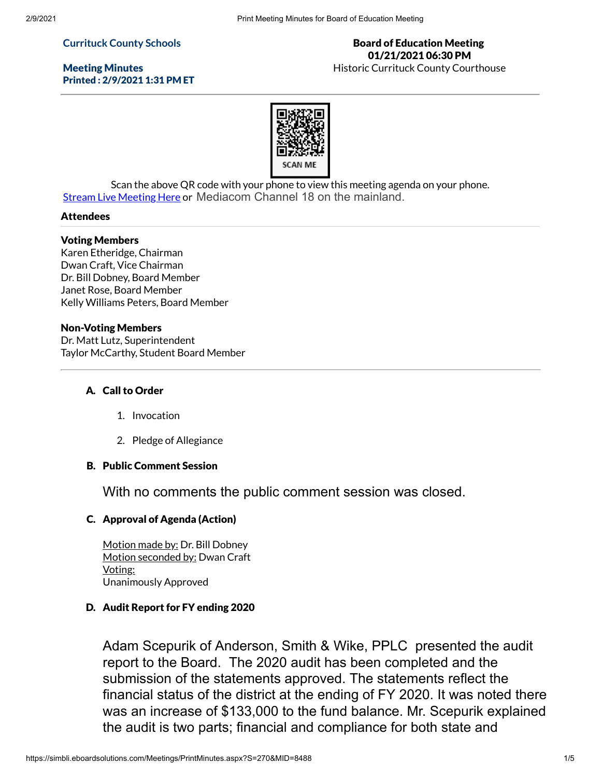#### **Currituck County Schools**

#### Meeting Minutes Printed : 2/9/2021 1:31 PM ET

# Board of Education Meeting 01/21/2021 06:30 PM

Historic Currituck County Courthouse



Scan the above QR code with your phone to view this meeting agenda on your phone. **Stream Live [Meeting](http://currituckcountync.iqm2.com/Citizens/default.aspx) Here or Mediacom Channel 18 on the mainland.** 

#### Attendees

#### Voting Members

Karen Etheridge, Chairman Dwan Craft, Vice Chairman Dr. Bill Dobney, Board Member Janet Rose, Board Member Kelly Williams Peters, Board Member

#### Non-Voting Members

Dr. Matt Lutz, Superintendent Taylor McCarthy, Student Board Member

## A. Call to Order

- 1. Invocation
- 2. Pledge of Allegiance

### B. Public Comment Session

With no comments the public comment session was closed.

#### C. Approval of Agenda (Action)

Motion made by: Dr. Bill Dobney Motion seconded by: Dwan Craft Voting: Unanimously Approved

#### D. Audit Report for FY ending 2020

Adam Scepurik of Anderson, Smith & Wike, PPLC presented the audit report to the Board. The 2020 audit has been completed and the submission of the statements approved. The statements reflect the financial status of the district at the ending of FY 2020. It was noted there was an increase of \$133,000 to the fund balance. Mr. Scepurik explained the audit is two parts; financial and compliance for both state and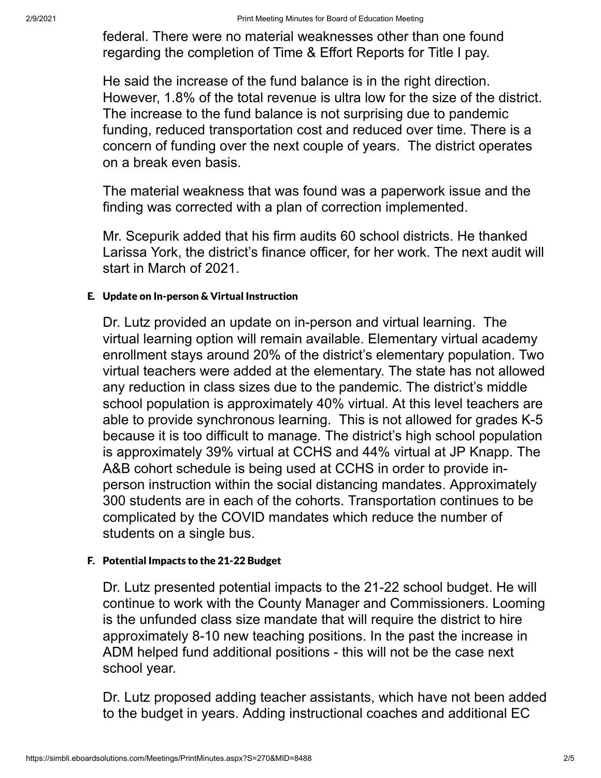federal. There were no material weaknesses other than one found regarding the completion of Time & Effort Reports for Title I pay.

He said the increase of the fund balance is in the right direction. However, 1.8% of the total revenue is ultra low for the size of the district. The increase to the fund balance is not surprising due to pandemic funding, reduced transportation cost and reduced over time. There is a concern of funding over the next couple of years. The district operates on a break even basis.

The material weakness that was found was a paperwork issue and the finding was corrected with a plan of correction implemented.

Mr. Scepurik added that his firm audits 60 school districts. He thanked Larissa York, the district's finance officer, for her work. The next audit will start in March of 2021.

# E. Update on In-person & Virtual Instruction

Dr. Lutz provided an update on in-person and virtual learning. The virtual learning option will remain available. Elementary virtual academy enrollment stays around 20% of the district's elementary population. Two virtual teachers were added at the elementary. The state has not allowed any reduction in class sizes due to the pandemic. The district's middle school population is approximately 40% virtual. At this level teachers are able to provide synchronous learning. This is not allowed for grades K-5 because it is too difficult to manage. The district's high school population is approximately 39% virtual at CCHS and 44% virtual at JP Knapp. The A&B cohort schedule is being used at CCHS in order to provide inperson instruction within the social distancing mandates. Approximately 300 students are in each of the cohorts. Transportation continues to be complicated by the COVID mandates which reduce the number of students on a single bus.

# F. Potential Impacts to the 21-22 Budget

Dr. Lutz presented potential impacts to the 21-22 school budget. He will continue to work with the County Manager and Commissioners. Looming is the unfunded class size mandate that will require the district to hire approximately 8-10 new teaching positions. In the past the increase in ADM helped fund additional positions - this will not be the case next school year.

Dr. Lutz proposed adding teacher assistants, which have not been added to the budget in years. Adding instructional coaches and additional EC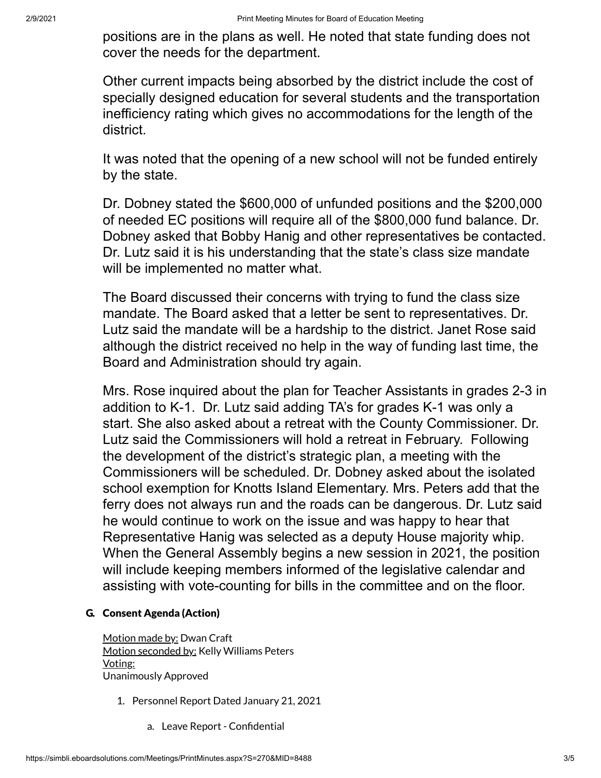positions are in the plans as well. He noted that state funding does not cover the needs for the department.

Other current impacts being absorbed by the district include the cost of specially designed education for several students and the transportation inefficiency rating which gives no accommodations for the length of the district.

It was noted that the opening of a new school will not be funded entirely by the state.

Dr. Dobney stated the \$600,000 of unfunded positions and the \$200,000 of needed EC positions will require all of the \$800,000 fund balance. Dr. Dobney asked that Bobby Hanig and other representatives be contacted. Dr. Lutz said it is his understanding that the state's class size mandate will be implemented no matter what.

The Board discussed their concerns with trying to fund the class size mandate. The Board asked that a letter be sent to representatives. Dr. Lutz said the mandate will be a hardship to the district. Janet Rose said although the district received no help in the way of funding last time, the Board and Administration should try again.

Mrs. Rose inquired about the plan for Teacher Assistants in grades 2-3 in addition to K-1. Dr. Lutz said adding TA's for grades K-1 was only a start. She also asked about a retreat with the County Commissioner. Dr. Lutz said the Commissioners will hold a retreat in February. Following the development of the district's strategic plan, a meeting with the Commissioners will be scheduled. Dr. Dobney asked about the isolated school exemption for Knotts Island Elementary. Mrs. Peters add that the ferry does not always run and the roads can be dangerous. Dr. Lutz said he would continue to work on the issue and was happy to hear that Representative Hanig was selected as a deputy House majority whip. When the General Assembly begins a new session in 2021, the position will include keeping members informed of the legislative calendar and assisting with vote-counting for bills in the committee and on the floor.

# G. Consent Agenda (Action)

Motion made by: Dwan Craft Motion seconded by: Kelly Williams Peters Voting: Unanimously Approved

- 1. Personnel Report Dated January 21, 2021
	- a. Leave Report Confidential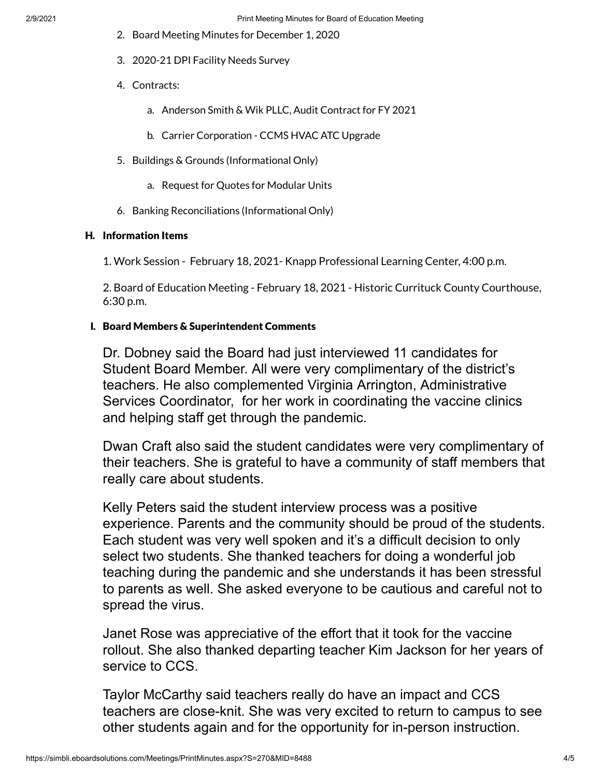- 2. Board Meeting Minutes for December 1, 2020
- 3. 2020-21 DPI Facility Needs Survey
- 4. Contracts:
	- a. Anderson Smith & Wik PLLC, Audit Contract for FY 2021
	- b. Carrier Corporation CCMS HVAC ATC Upgrade
- 5. Buildings & Grounds (Informational Only)
	- a. Request for Quotes for Modular Units
- 6. Banking Reconciliations (Informational Only)

### H. Information Items

1. Work Session - February 18, 2021- Knapp Professional Learning Center, 4:00 p.m.

2. Board of Education Meeting - February 18, 2021 - Historic Currituck County Courthouse, 6:30 p.m.

# I. Board Members & Superintendent Comments

Dr. Dobney said the Board had just interviewed 11 candidates for Student Board Member. All were very complimentary of the district's teachers. He also complemented Virginia Arrington, Administrative Services Coordinator, for her work in coordinating the vaccine clinics and helping staff get through the pandemic.

Dwan Craft also said the student candidates were very complimentary of their teachers. She is grateful to have a community of staff members that really care about students.

Kelly Peters said the student interview process was a positive experience. Parents and the community should be proud of the students. Each student was very well spoken and it's a difficult decision to only select two students. She thanked teachers for doing a wonderful job teaching during the pandemic and she understands it has been stressful to parents as well. She asked everyone to be cautious and careful not to spread the virus.

Janet Rose was appreciative of the effort that it took for the vaccine rollout. She also thanked departing teacher Kim Jackson for her years of service to CCS.

Taylor McCarthy said teachers really do have an impact and CCS teachers are close-knit. She was very excited to return to campus to see other students again and for the opportunity for in-person instruction.